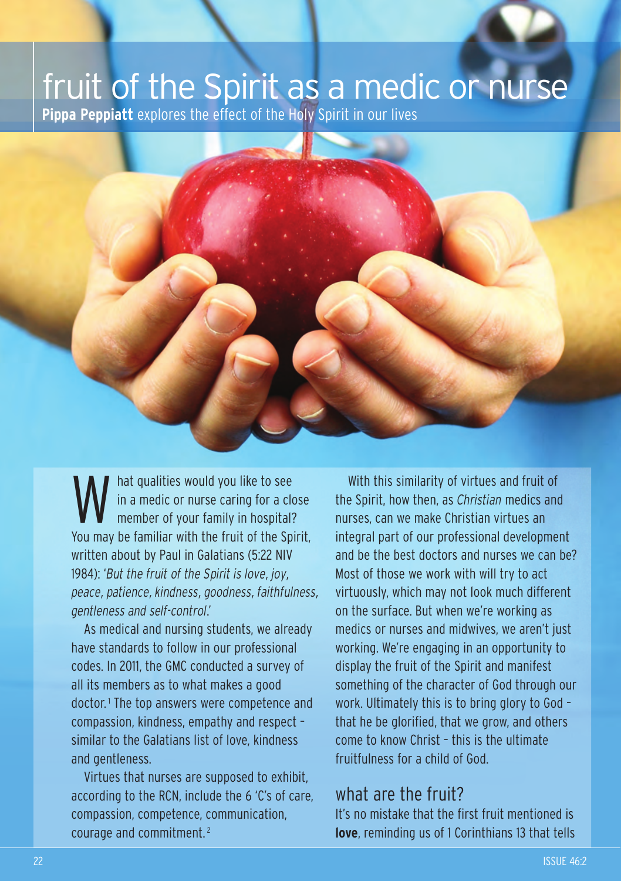## fruit of the Spirit as a medic or nurse

**Pippa Peppiatt** explores the effect of the Holy Spirit in our lives

W hat qualities would you like to see<br>in a medic or nurse caring for a clo<br>member of your family in hospital? in a medic or nurse caring for a close You may be familiar with the fruit of the Spirit. written about by Paul in Galatians (5:22 NIV 1984): '*But the fruit of the Spirit is love, joy, peace, patience, kindness, goodness, faithfulness, gentleness and self-control*.'

As medical and nursing students, we already have standards to follow in our professional codes. In 2011, the GMC conducted a survey of all its members as to what makes a good doctor.<sup>1</sup> The top answers were competence and compassion, kindness, empathy and respect – similar to the Galatians list of love, kindness and gentleness.

Virtues that nurses are supposed to exhibit, according to the RCN, include the 6 'C's of care, compassion, competence, communication, courage and commitment. <sup>2</sup>

With this similarity of virtues and fruit of the Spirit, how then, as *Christian* medics and nurses, can we make Christian virtues an integral part of our professional development and be the best doctors and nurses we can be? Most of those we work with will try to act virtuously, which may not look much different on the surface. But when we're working as medics or nurses and midwives, we aren't just working. We're engaging in an opportunity to display the fruit of the Spirit and manifest something of the character of God through our work. Ultimately this is to bring glory to God – that he be glorified, that we grow, and others come to know Christ – this is the ultimate fruitfulness for a child of God.

## what are the fruit?

It's no mistake that the first fruit mentioned is **love**, reminding us of 1 Corinthians 13 that tells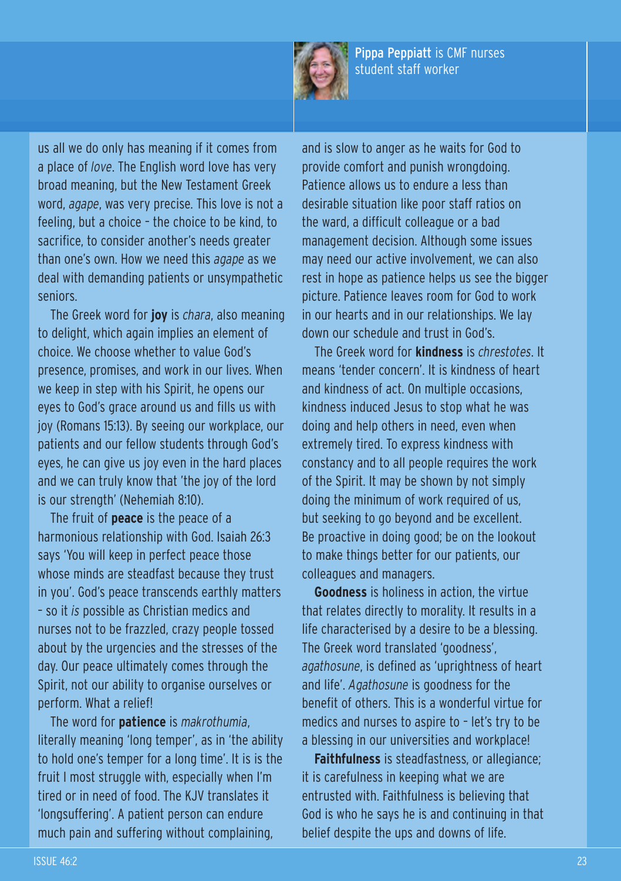

Pippa Peppiatt is CMF nurses student staff worker

us all we do only has meaning if it comes from a place of *love*. The English word love has very broad meaning, but the New Testament Greek word, *agape*, was very precise. This love is not a feeling, but a choice – the choice to be kind, to sacrifice, to consider another's needs greater than one's own. How we need this *agape* as we deal with demanding patients or unsympathetic seniors.

The Greek word for **joy** is *chara*, also meaning to delight, which again implies an element of choice. We choose whether to value God's presence, promises, and work in our lives. When we keep in step with his Spirit, he opens our eyes to God's grace around us and fills us with joy (Romans 15:13). By seeing our workplace, our patients and our fellow students through God's eyes, he can give us joy even in the hard places and we can truly know that 'the joy of the lord is our strength' (Nehemiah 8:10).

The fruit of **peace** is the peace of a harmonious relationship with God. Isaiah 26:3 says 'You will keep in perfect peace those whose minds are steadfast because they trust in you'. God's peace transcends earthly matters – so it *is* possible as Christian medics and nurses not to be frazzled, crazy people tossed about by the urgencies and the stresses of the day. Our peace ultimately comes through the Spirit, not our ability to organise ourselves or perform. What a relief!

The word for **patience** is *makrothumia*, literally meaning 'long temper', as in 'the ability to hold one's temper for a long time'. It is is the fruit I most struggle with, especially when I'm tired or in need of food. The KJV translates it 'longsuffering'. A patient person can endure much pain and suffering without complaining,

and is slow to anger as he waits for God to provide comfort and punish wrongdoing. Patience allows us to endure a less than desirable situation like poor staff ratios on the ward, a difficult colleague or a bad management decision. Although some issues may need our active involvement, we can also rest in hope as patience helps us see the bigger picture. Patience leaves room for God to work in our hearts and in our relationships. We lay down our schedule and trust in God's.

The Greek word for **kindness** is *chrestotes*. It means 'tender concern'. It is kindness of heart and kindness of act. On multiple occasions, kindness induced Jesus to stop what he was doing and help others in need, even when extremely tired. To express kindness with constancy and to all people requires the work of the Spirit. It may be shown by not simply doing the minimum of work required of us, but seeking to go beyond and be excellent. Be proactive in doing good; be on the lookout to make things better for our patients, our colleagues and managers.

**Goodness** is holiness in action, the virtue that relates directly to morality. It results in a life characterised by a desire to be a blessing. The Greek word translated 'goodness', *agathosune*, is defined as 'uprightness of heart and life'. *Agathosune* is goodness for the benefit of others. This is a wonderful virtue for medics and nurses to aspire to – let's try to be a blessing in our universities and workplace!

**Faithfulness** is steadfastness, or allegiance; it is carefulness in keeping what we are entrusted with. Faithfulness is believing that God is who he says he is and continuing in that belief despite the ups and downs of life.